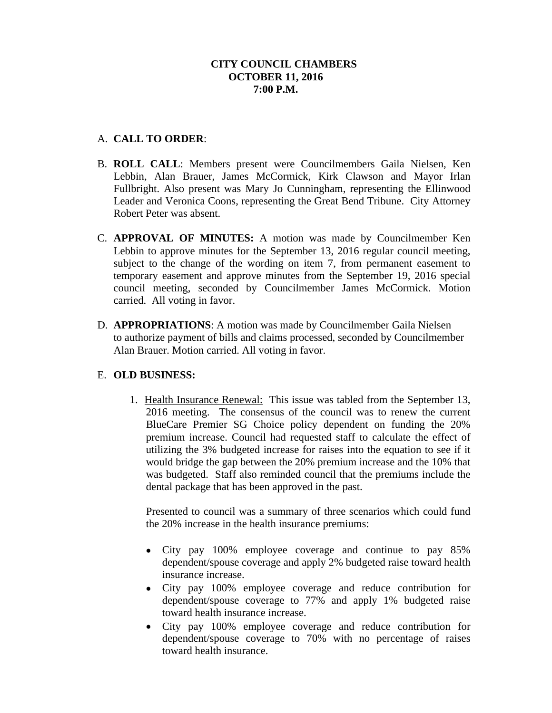# A. **CALL TO ORDER**:

- B. **ROLL CALL**: Members present were Councilmembers Gaila Nielsen, Ken Lebbin, Alan Brauer, James McCormick, Kirk Clawson and Mayor Irlan Fullbright. Also present was Mary Jo Cunningham, representing the Ellinwood Leader and Veronica Coons, representing the Great Bend Tribune. City Attorney Robert Peter was absent.
- C. **APPROVAL OF MINUTES:** A motion was made by Councilmember Ken Lebbin to approve minutes for the September 13, 2016 regular council meeting, subject to the change of the wording on item 7, from permanent easement to temporary easement and approve minutes from the September 19, 2016 special council meeting, seconded by Councilmember James McCormick. Motion carried. All voting in favor.
- D. **APPROPRIATIONS**: A motion was made by Councilmember Gaila Nielsen to authorize payment of bills and claims processed, seconded by Councilmember Alan Brauer. Motion carried. All voting in favor.

## E. **OLD BUSINESS:**

1. Health Insurance Renewal: This issue was tabled from the September 13, 2016 meeting. The consensus of the council was to renew the current BlueCare Premier SG Choice policy dependent on funding the 20% premium increase. Council had requested staff to calculate the effect of utilizing the 3% budgeted increase for raises into the equation to see if it would bridge the gap between the 20% premium increase and the 10% that was budgeted. Staff also reminded council that the premiums include the dental package that has been approved in the past.

Presented to council was a summary of three scenarios which could fund the 20% increase in the health insurance premiums:

- City pay 100% employee coverage and continue to pay 85% dependent/spouse coverage and apply 2% budgeted raise toward health insurance increase.
- City pay 100% employee coverage and reduce contribution for dependent/spouse coverage to 77% and apply 1% budgeted raise toward health insurance increase.
- City pay 100% employee coverage and reduce contribution for dependent/spouse coverage to 70% with no percentage of raises toward health insurance.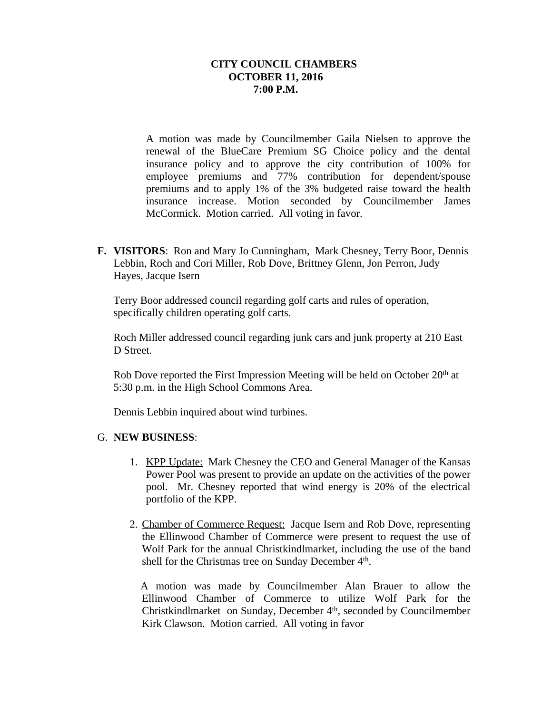A motion was made by Councilmember Gaila Nielsen to approve the renewal of the BlueCare Premium SG Choice policy and the dental insurance policy and to approve the city contribution of 100% for employee premiums and 77% contribution for dependent/spouse premiums and to apply 1% of the 3% budgeted raise toward the health insurance increase. Motion seconded by Councilmember James McCormick. Motion carried. All voting in favor.

**F. VISITORS**: Ron and Mary Jo Cunningham, Mark Chesney, Terry Boor, Dennis Lebbin, Roch and Cori Miller, Rob Dove, Brittney Glenn, Jon Perron, Judy Hayes, Jacque Isern

Terry Boor addressed council regarding golf carts and rules of operation, specifically children operating golf carts.

Roch Miller addressed council regarding junk cars and junk property at 210 East D Street.

Rob Dove reported the First Impression Meeting will be held on October 20<sup>th</sup> at 5:30 p.m. in the High School Commons Area.

Dennis Lebbin inquired about wind turbines.

## G. **NEW BUSINESS**:

- 1. KPP Update: Mark Chesney the CEO and General Manager of the Kansas Power Pool was present to provide an update on the activities of the power pool. Mr. Chesney reported that wind energy is 20% of the electrical portfolio of the KPP.
- 2. Chamber of Commerce Request: Jacque Isern and Rob Dove, representing the Ellinwood Chamber of Commerce were present to request the use of Wolf Park for the annual Christkindlmarket, including the use of the band shell for the Christmas tree on Sunday December 4<sup>th</sup>.

A motion was made by Councilmember Alan Brauer to allow the Ellinwood Chamber of Commerce to utilize Wolf Park for the Christkindlmarket on Sunday, December 4<sup>th</sup>, seconded by Councilmember Kirk Clawson. Motion carried. All voting in favor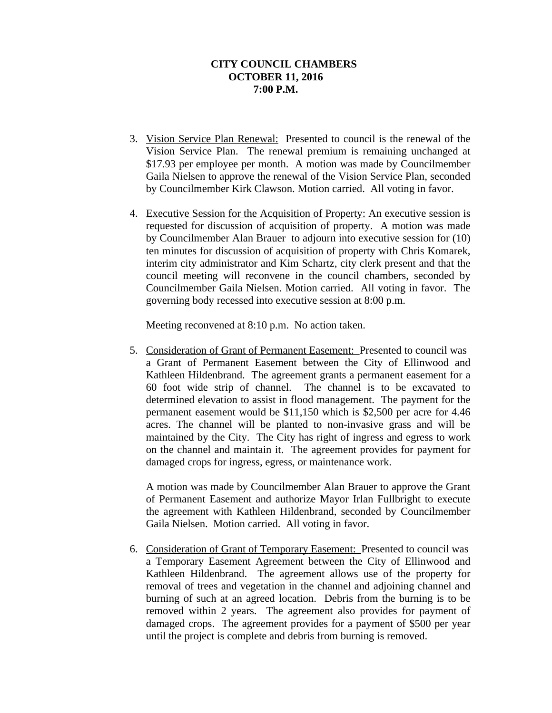- 3. Vision Service Plan Renewal: Presented to council is the renewal of the Vision Service Plan. The renewal premium is remaining unchanged at \$17.93 per employee per month. A motion was made by Councilmember Gaila Nielsen to approve the renewal of the Vision Service Plan, seconded by Councilmember Kirk Clawson. Motion carried. All voting in favor.
- 4. Executive Session for the Acquisition of Property: An executive session is requested for discussion of acquisition of property. A motion was made by Councilmember Alan Brauer to adjourn into executive session for (10) ten minutes for discussion of acquisition of property with Chris Komarek, interim city administrator and Kim Schartz, city clerk present and that the council meeting will reconvene in the council chambers, seconded by Councilmember Gaila Nielsen. Motion carried. All voting in favor. The governing body recessed into executive session at 8:00 p.m.

Meeting reconvened at 8:10 p.m. No action taken.

5. Consideration of Grant of Permanent Easement: Presented to council was a Grant of Permanent Easement between the City of Ellinwood and Kathleen Hildenbrand. The agreement grants a permanent easement for a 60 foot wide strip of channel. The channel is to be excavated to determined elevation to assist in flood management. The payment for the permanent easement would be \$11,150 which is \$2,500 per acre for 4.46 acres. The channel will be planted to non-invasive grass and will be maintained by the City. The City has right of ingress and egress to work on the channel and maintain it. The agreement provides for payment for damaged crops for ingress, egress, or maintenance work.

A motion was made by Councilmember Alan Brauer to approve the Grant of Permanent Easement and authorize Mayor Irlan Fullbright to execute the agreement with Kathleen Hildenbrand, seconded by Councilmember Gaila Nielsen. Motion carried. All voting in favor.

 6. Consideration of Grant of Temporary Easement: Presented to council was a Temporary Easement Agreement between the City of Ellinwood and Kathleen Hildenbrand. The agreement allows use of the property for removal of trees and vegetation in the channel and adjoining channel and burning of such at an agreed location. Debris from the burning is to be removed within 2 years. The agreement also provides for payment of damaged crops. The agreement provides for a payment of \$500 per year until the project is complete and debris from burning is removed.